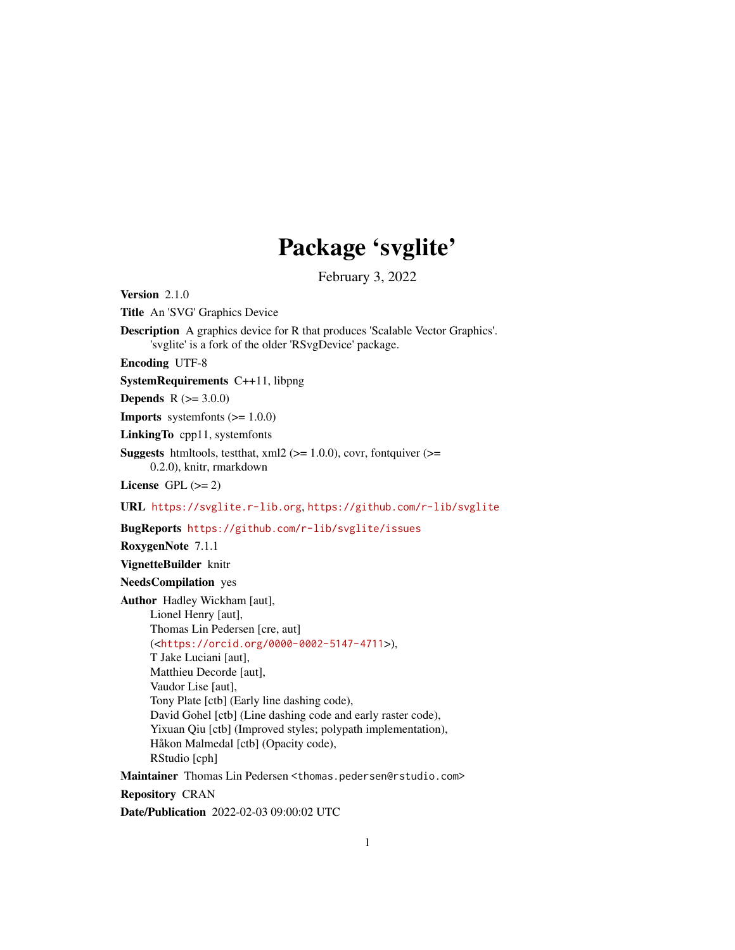## Package 'svglite'

February 3, 2022

<span id="page-0-0"></span>Version 2.1.0

Title An 'SVG' Graphics Device

Description A graphics device for R that produces 'Scalable Vector Graphics'. 'svglite' is a fork of the older 'RSvgDevice' package.

Encoding UTF-8

SystemRequirements C++11, libpng

**Depends** R  $(>= 3.0.0)$ 

**Imports** systemfonts  $(>= 1.0.0)$ 

LinkingTo cpp11, systemfonts

**Suggests** htmltools, testthat,  $xml2$  ( $>= 1.0.0$ ), covr, fontquiver ( $>=$ 0.2.0), knitr, rmarkdown

License GPL  $(>= 2)$ 

URL <https://svglite.r-lib.org>, <https://github.com/r-lib/svglite>

BugReports <https://github.com/r-lib/svglite/issues>

RoxygenNote 7.1.1

VignetteBuilder knitr

NeedsCompilation yes

Author Hadley Wickham [aut],

Lionel Henry [aut], Thomas Lin Pedersen [cre, aut] (<<https://orcid.org/0000-0002-5147-4711>>), T Jake Luciani [aut], Matthieu Decorde [aut], Vaudor Lise [aut], Tony Plate [ctb] (Early line dashing code), David Gohel [ctb] (Line dashing code and early raster code), Yixuan Qiu [ctb] (Improved styles; polypath implementation), Håkon Malmedal [ctb] (Opacity code), RStudio [cph]

Maintainer Thomas Lin Pedersen <thomas.pedersen@rstudio.com> Repository CRAN Date/Publication 2022-02-03 09:00:02 UTC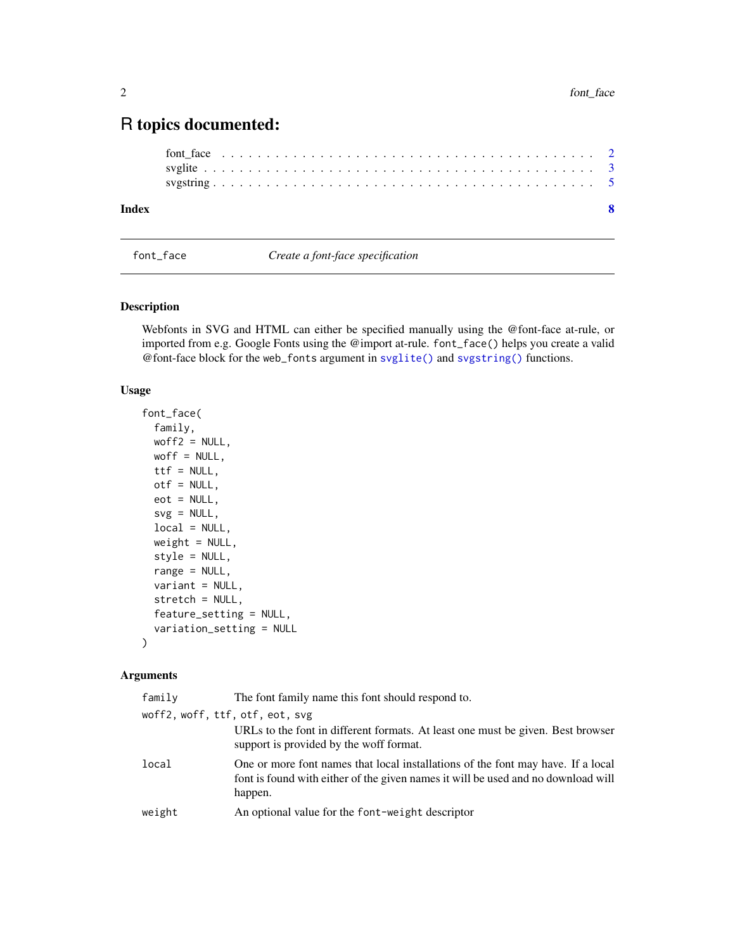### <span id="page-1-0"></span>R topics documented:

```
font_face . . . . . . . . . . . . . . . . . . . . . . . . . . . . . . . . . . . . . . . . . . 2
       svglite . . . . . . . . . . . . . . . . . . . . . . . . . . . . . . . . . . . . . . . . . . . . 3
      svgstring . . . . . . . . . . . . . . . . . . . . . . . . . . . . . . . . . . . . . . . . . . . 5
Index8 8
```
<span id="page-1-1"></span>font\_face *Create a font-face specification*

#### Description

Webfonts in SVG and HTML can either be specified manually using the @font-face at-rule, or imported from e.g. Google Fonts using the @import at-rule. font\_face() helps you create a valid @font-face block for the web\_fonts argument in [svglite\(\)](#page-2-1) and [svgstring\(\)](#page-4-1) functions.

#### Usage

```
font_face(
  family,
 woff2 = NULL,
 woff = NULL,
  ttf = NULL,otf = NULL,
  eot = NULL,svg = NULL,local = NULL,weight = NULL,style = NULL,
  range = NULL,
 variant = NULL,
  stretch = NULL,
  feature_setting = NULL,
  variation_setting = NULL
)
```
#### Arguments

| family                     | The font family name this font should respond to.                                                                                                                                |
|----------------------------|----------------------------------------------------------------------------------------------------------------------------------------------------------------------------------|
| woff2,woff,ttf,otf,eot,svg | URLs to the font in different formats. At least one must be given. Best browser<br>support is provided by the woff format.                                                       |
| local                      | One or more font names that local installations of the font may have. If a local<br>font is found with either of the given names it will be used and no download will<br>happen. |
| weight                     | An optional value for the font-weight descriptor                                                                                                                                 |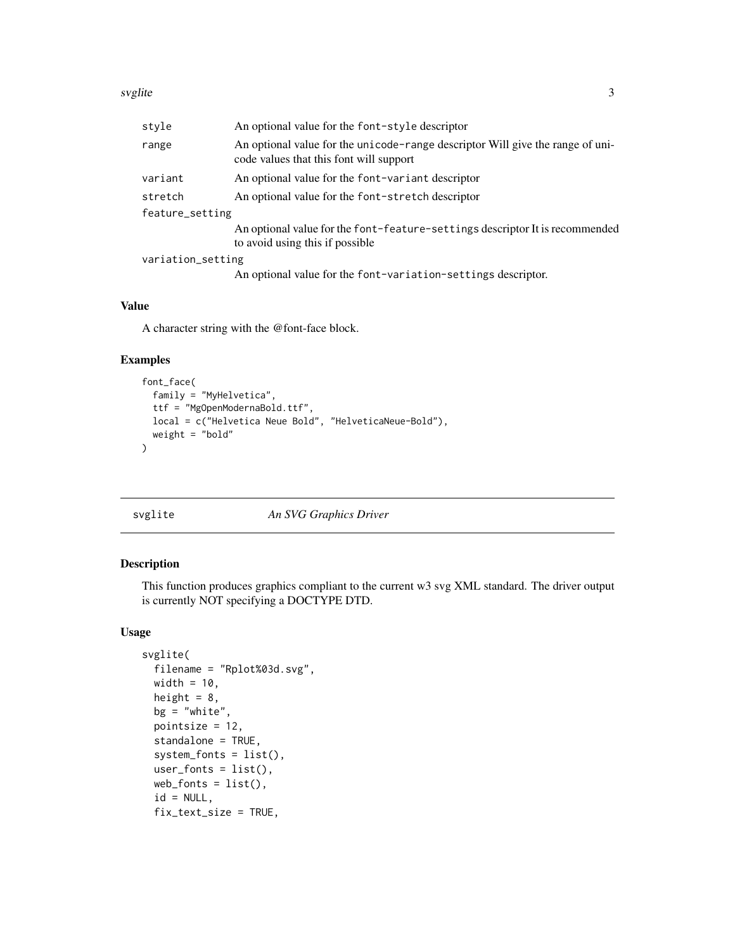#### <span id="page-2-0"></span>svglite 3

| style             | An optional value for the font-style descriptor                                                                           |  |
|-------------------|---------------------------------------------------------------------------------------------------------------------------|--|
| range             | An optional value for the unicode-range descriptor Will give the range of uni-<br>code values that this font will support |  |
| variant           | An optional value for the font-variant descriptor                                                                         |  |
| stretch           | An optional value for the font-stretch descriptor                                                                         |  |
| feature_setting   |                                                                                                                           |  |
|                   | An optional value for the font-feature-settings descriptor It is recommended<br>to avoid using this if possible           |  |
| variation_setting |                                                                                                                           |  |
|                   | An optional value for the font-variation-settings descriptor.                                                             |  |

#### Value

A character string with the @font-face block.

#### Examples

```
font_face(
 family = "MyHelvetica",
  ttf = "MgOpenModernaBold.ttf",
  local = c("Helvetica Neue Bold", "HelveticaNeue-Bold"),
  weight = "bold"
\lambda
```
#### <span id="page-2-1"></span>svglite *An SVG Graphics Driver*

#### Description

This function produces graphics compliant to the current w3 svg XML standard. The driver output is currently NOT specifying a DOCTYPE DTD.

#### Usage

```
svglite(
  filename = "Rplot%03d.svg",
  width = 10,
 height = 8,
 bg = "white",pointsize = 12,
  standalone = TRUE,
  system_fonts = list(),
  user_fonts = list(),
  web_fonts = list(),
  id = NULL,fix_text_size = TRUE,
```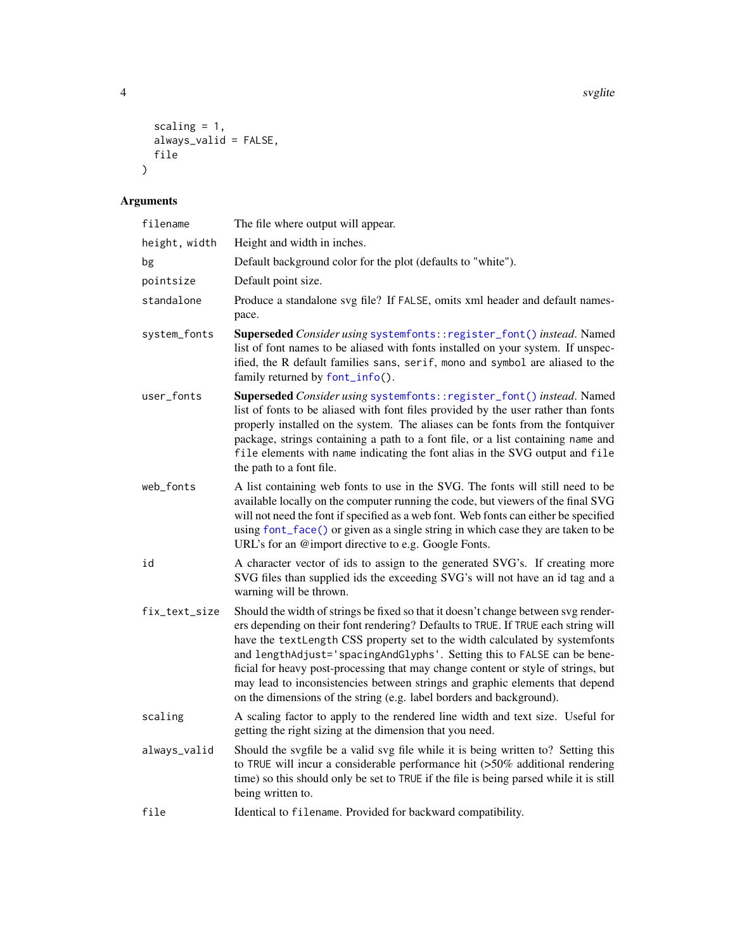4 svglite states and the state of the state of the state state state  $\sim$  svglite

```
scaling = 1,
   always_valid = FALSE,
  file
\mathcal{L}
```
#### Arguments

| filename      | The file where output will appear.                                                                                                                                                                                                                                                                                                                                                                                                                                                                                                                                             |
|---------------|--------------------------------------------------------------------------------------------------------------------------------------------------------------------------------------------------------------------------------------------------------------------------------------------------------------------------------------------------------------------------------------------------------------------------------------------------------------------------------------------------------------------------------------------------------------------------------|
| height, width | Height and width in inches.                                                                                                                                                                                                                                                                                                                                                                                                                                                                                                                                                    |
| bg            | Default background color for the plot (defaults to "white").                                                                                                                                                                                                                                                                                                                                                                                                                                                                                                                   |
| pointsize     | Default point size.                                                                                                                                                                                                                                                                                                                                                                                                                                                                                                                                                            |
| standalone    | Produce a standalone svg file? If FALSE, omits xml header and default names-<br>pace.                                                                                                                                                                                                                                                                                                                                                                                                                                                                                          |
| system_fonts  | Superseded Consider using systemfonts:: register_font() instead. Named<br>list of font names to be aliased with fonts installed on your system. If unspec-<br>ified, the R default families sans, serif, mono and symbol are aliased to the<br>family returned by font_info().                                                                                                                                                                                                                                                                                                 |
| user_fonts    | Superseded Consider using systemfonts:: register_font() instead. Named<br>list of fonts to be aliased with font files provided by the user rather than fonts<br>properly installed on the system. The aliases can be fonts from the fontquiver<br>package, strings containing a path to a font file, or a list containing name and<br>file elements with name indicating the font alias in the SVG output and file<br>the path to a font file.                                                                                                                                 |
| web_fonts     | A list containing web fonts to use in the SVG. The fonts will still need to be<br>available locally on the computer running the code, but viewers of the final SVG<br>will not need the font if specified as a web font. Web fonts can either be specified<br>using font_face() or given as a single string in which case they are taken to be<br>URL's for an @import directive to e.g. Google Fonts.                                                                                                                                                                         |
| id            | A character vector of ids to assign to the generated SVG's. If creating more<br>SVG files than supplied ids the exceeding SVG's will not have an id tag and a<br>warning will be thrown.                                                                                                                                                                                                                                                                                                                                                                                       |
| fix_text_size | Should the width of strings be fixed so that it doesn't change between svg render-<br>ers depending on their font rendering? Defaults to TRUE. If TRUE each string will<br>have the textLength CSS property set to the width calculated by systemfonts<br>and lengthAdjust='spacingAndGlyphs'. Setting this to FALSE can be bene-<br>ficial for heavy post-processing that may change content or style of strings, but<br>may lead to inconsistencies between strings and graphic elements that depend<br>on the dimensions of the string (e.g. label borders and background). |
| scaling       | A scaling factor to apply to the rendered line width and text size. Useful for<br>getting the right sizing at the dimension that you need.                                                                                                                                                                                                                                                                                                                                                                                                                                     |
| always_valid  | Should the svgfile be a valid svg file while it is being written to? Setting this<br>to TRUE will incur a considerable performance hit $(>50\%$ additional rendering<br>time) so this should only be set to TRUE if the file is being parsed while it is still<br>being written to.                                                                                                                                                                                                                                                                                            |
| file          | Identical to filename. Provided for backward compatibility.                                                                                                                                                                                                                                                                                                                                                                                                                                                                                                                    |

<span id="page-3-0"></span>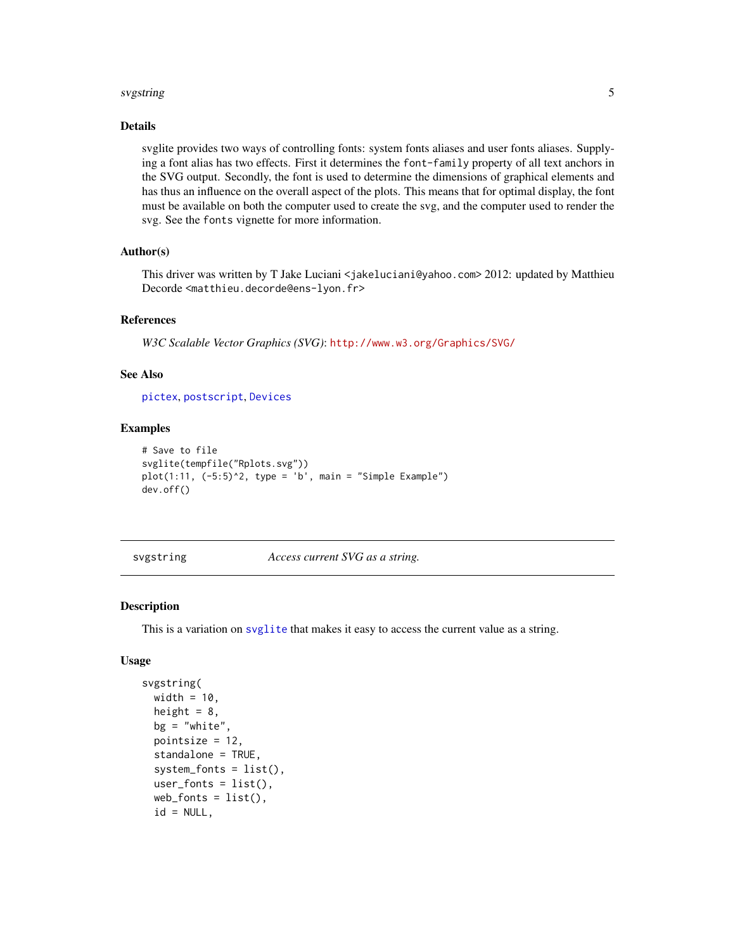#### <span id="page-4-0"></span>svgstring 5

#### Details

svglite provides two ways of controlling fonts: system fonts aliases and user fonts aliases. Supplying a font alias has two effects. First it determines the font-family property of all text anchors in the SVG output. Secondly, the font is used to determine the dimensions of graphical elements and has thus an influence on the overall aspect of the plots. This means that for optimal display, the font must be available on both the computer used to create the svg, and the computer used to render the svg. See the fonts vignette for more information.

#### Author(s)

This driver was written by T Jake Luciani <jakeluciani@yahoo.com> 2012: updated by Matthieu Decorde <matthieu.decorde@ens-lyon.fr>

#### References

*W3C Scalable Vector Graphics (SVG)*: <http://www.w3.org/Graphics/SVG/>

#### See Also

[pictex](#page-0-0), [postscript](#page-0-0), [Devices](#page-0-0)

#### Examples

```
# Save to file
svglite(tempfile("Rplots.svg"))
plot(1:11, (-5:5)^2, type = 'b', main = "Simple Example")dev.off()
```
<span id="page-4-1"></span>svgstring *Access current SVG as a string.*

#### Description

This is a variation on [svglite](#page-2-1) that makes it easy to access the current value as a string.

#### Usage

```
svgstring(
 width = 10,
  height = 8,
 bg = "white",pointsize = 12,
  standalone = TRUE,
  system_fonts = list(),
  user_fonts = list(),
  web_fonts = list(),id = NULL,
```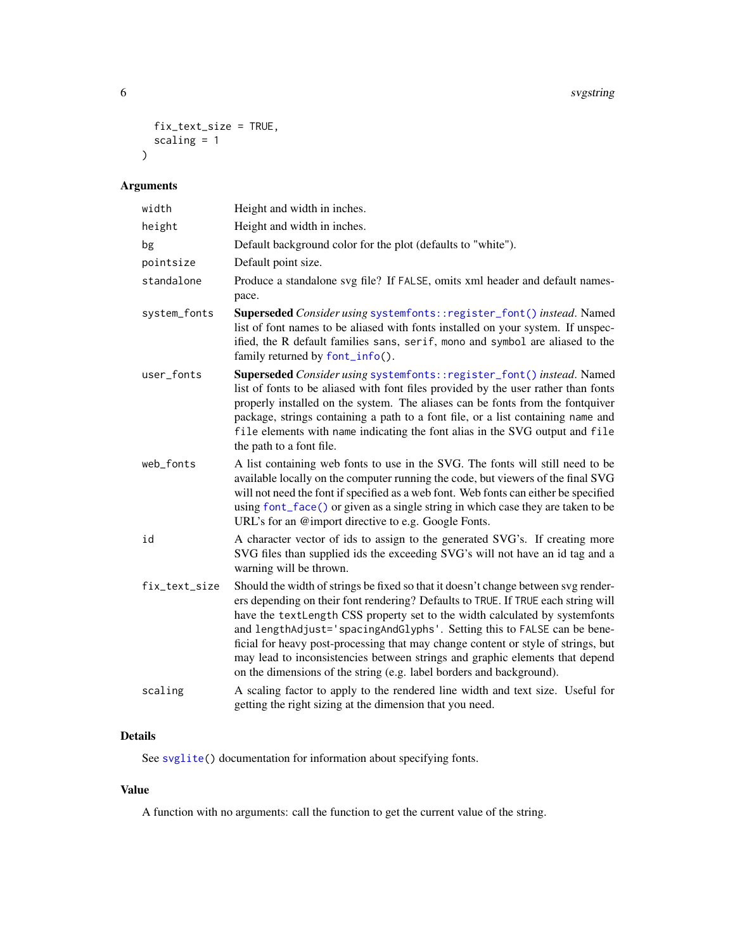```
fix_text_size = TRUE,
  scaling = 1
\mathcal{L}
```
#### Arguments

| width         | Height and width in inches.                                                                                                                                                                                                                                                                                                                                                                                                                                                                                                                                                    |
|---------------|--------------------------------------------------------------------------------------------------------------------------------------------------------------------------------------------------------------------------------------------------------------------------------------------------------------------------------------------------------------------------------------------------------------------------------------------------------------------------------------------------------------------------------------------------------------------------------|
| height        | Height and width in inches.                                                                                                                                                                                                                                                                                                                                                                                                                                                                                                                                                    |
| bg            | Default background color for the plot (defaults to "white").                                                                                                                                                                                                                                                                                                                                                                                                                                                                                                                   |
| pointsize     | Default point size.                                                                                                                                                                                                                                                                                                                                                                                                                                                                                                                                                            |
| standalone    | Produce a standalone svg file? If FALSE, omits xml header and default names-<br>pace.                                                                                                                                                                                                                                                                                                                                                                                                                                                                                          |
| system_fonts  | Superseded Consider using systemfonts:: register_font() instead. Named<br>list of font names to be aliased with fonts installed on your system. If unspec-<br>ified, the R default families sans, serif, mono and symbol are aliased to the<br>family returned by font_info().                                                                                                                                                                                                                                                                                                 |
| user_fonts    | Superseded Consider using systemfonts:: register_font() instead. Named<br>list of fonts to be aliased with font files provided by the user rather than fonts<br>properly installed on the system. The aliases can be fonts from the fontquiver<br>package, strings containing a path to a font file, or a list containing name and<br>file elements with name indicating the font alias in the SVG output and file<br>the path to a font file.                                                                                                                                 |
| web_fonts     | A list containing web fonts to use in the SVG. The fonts will still need to be<br>available locally on the computer running the code, but viewers of the final SVG<br>will not need the font if specified as a web font. Web fonts can either be specified<br>using font_face() or given as a single string in which case they are taken to be<br>URL's for an @import directive to e.g. Google Fonts.                                                                                                                                                                         |
| id            | A character vector of ids to assign to the generated SVG's. If creating more<br>SVG files than supplied ids the exceeding SVG's will not have an id tag and a<br>warning will be thrown.                                                                                                                                                                                                                                                                                                                                                                                       |
| fix_text_size | Should the width of strings be fixed so that it doesn't change between svg render-<br>ers depending on their font rendering? Defaults to TRUE. If TRUE each string will<br>have the textLength CSS property set to the width calculated by systemfonts<br>and lengthAdjust='spacingAndGlyphs'. Setting this to FALSE can be bene-<br>ficial for heavy post-processing that may change content or style of strings, but<br>may lead to inconsistencies between strings and graphic elements that depend<br>on the dimensions of the string (e.g. label borders and background). |
| scaling       | A scaling factor to apply to the rendered line width and text size. Useful for<br>getting the right sizing at the dimension that you need.                                                                                                                                                                                                                                                                                                                                                                                                                                     |

#### Details

See [svglite\(](#page-2-1)) documentation for information about specifying fonts.

#### Value

A function with no arguments: call the function to get the current value of the string.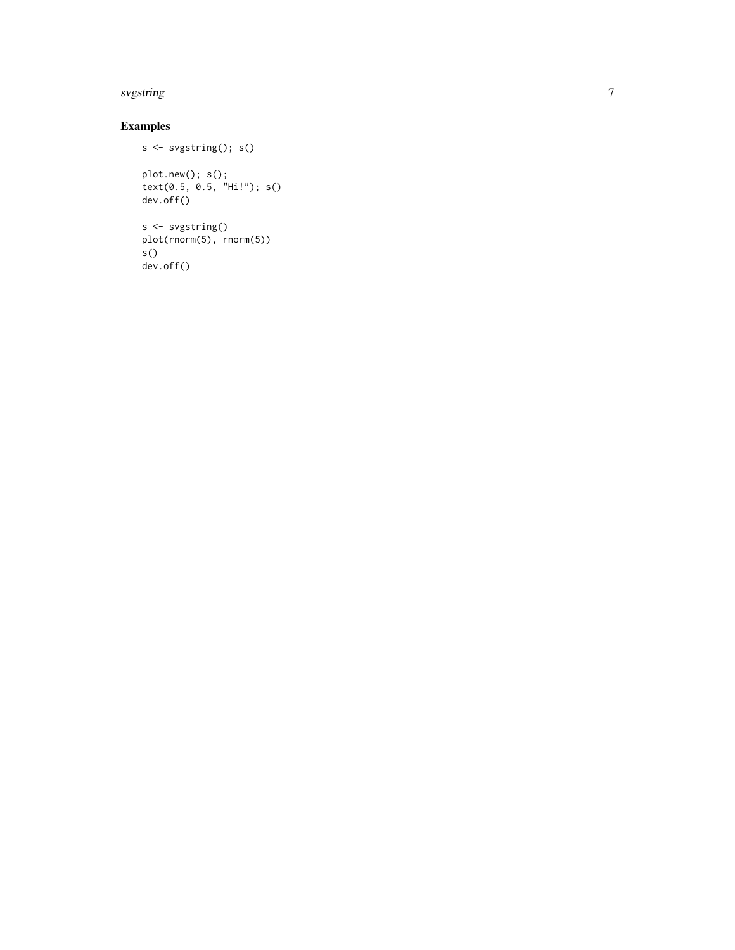#### svgstring

#### Examples

```
s <- svgstring(); s()
plot.new(); s();
text(0.5, 0.5, "Hi!"); s()
dev.off()
s <- svgstring()
plot(rnorm(5), rnorm(5))
s()
dev.off()
```